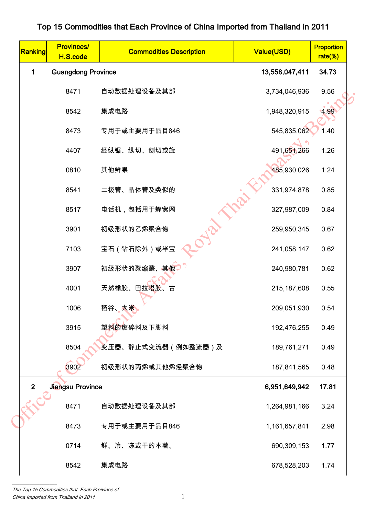## 0647 自动航线上管线 200800.781 0.82<br>
8642 書成电路 6.42 制切或部 1946,320.915 4.99<br>
8473 专用于或主要用于品目848 545.830.026 1.42<br>
8654 左右体 医心 计可变 20080.781 0.82<br>
867 电话机 包括用于蜂蜜网 327,987,009 0.84<br>
867 电话机 包括用于蜂蜜网 327,987,009 0.84<br>
9007 初级形状的叉痛醒、 Ranking Provinces/<br>H.S.code **Commodities Description Commodities Description** rate(%) 1 Guangdong Province 2012 13,558,047,411 34.73 8471 自动数据处理设备及其部 3,734,046,936 9.56 8542 集成电路 1,948,320,915 4.99 8473 专用于或主要用于品目846 545,835,062 1.40 4407 经纵锯、纵切、刨切或旋 491,6<mark>51</mark>,266 1.26 0810 其他鲜果 485,930,026 1.24 8541 二极管、晶体管及类似的 331,974,878 0.85 8517 电话机,包括用于蜂窝网 327,987,009 0.84 3901 初级形状的乙烯聚合物 259,950,345 0.67 7103 宝石(钻石除外)或半宝 241,058,147 0.62 3907 初级形状的聚缩醛、其他 210.980,781 240,980,781 0.62 4001 天然橡胶、巴拉塔胶、古 215,187,608 0.55 1006 稻谷、大米、 209,051,930 0.54 3915 塑料的废碎料及下脚料 192,476,255 0.49 8504 变压器、静止式变流器(例如整流器)及 189,761,271 0.49 3902 初级形状的丙烯或其他烯烃聚合物 187,841,565 0.48 2 Jiangsu Province 6,951,649,942 17.81 8471 自动数据处理设备及其部 1,264,981,166 3.24 8473 专用于或主要用于品目846 1,161,657,841 2.98 0714 鲜、冷、冻或干的木薯、 690.309,153 1.77 8542 集成电路 678,528,203 1.74

## Top 15 Commodities that Each Province of China Imported from Thailand in 2011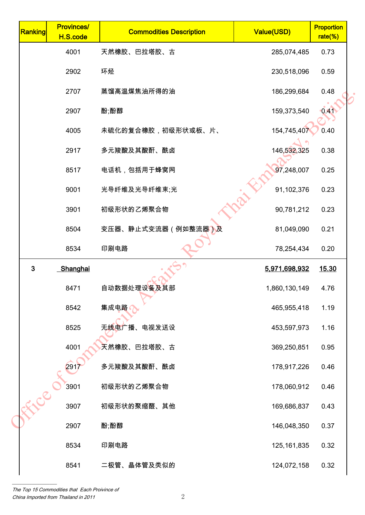| <b>Provinces/</b><br>H.S.code | <b>Commodities Description</b> | <b>Value(USD)</b> | <b>Proportion</b><br>rate(%) |                                                                         |
|-------------------------------|--------------------------------|-------------------|------------------------------|-------------------------------------------------------------------------|
| 4001                          | 天然橡胶、巴拉塔胶、古                    | 285,074,485       | 0.73                         |                                                                         |
| 2902                          | 环烃                             | 230,518,096       | 0.59                         |                                                                         |
| 2707                          | 蒸馏高温煤焦油所得的油                    | 186,299,684       | 0.48                         |                                                                         |
| 2907                          | 酚;酚醇                           | 159,373,540       | 0.41                         |                                                                         |
| 4005                          | 未硫化的复合橡胶,初级形状或板、片、             | 154,745,407       | 0.40                         |                                                                         |
| 2917                          | 多元羧酸及其酸酐、酰卤                    | 146,532,325       | 0.38                         |                                                                         |
| 8517                          | 电话机,包括用于蜂窝网                    | 97,248,007        | 0.25                         |                                                                         |
| 9001                          | 光导纤维及光导纤维束;光                   |                   | 0.23                         |                                                                         |
| 3901                          | 初级形状的乙烯聚合物                     |                   | 0.23                         |                                                                         |
| 8504                          | 变压器、静止式变流器(例如整流器)及             | 81,049,090        | 0.21                         |                                                                         |
| 8534                          | 印刷电路                           | 78,254,434        | 0.20                         |                                                                         |
| Shanghai                      |                                | 5,971,698,932     | 15.30                        |                                                                         |
| 8471                          | 自动数据处理设备及其部                    | 1,860,130,149     | 4.76                         |                                                                         |
| 8542                          | 集成电路                           | 465,955,418       | 1.19                         |                                                                         |
| 8525                          | 无线电广播、电视发送设                    |                   | 1.16                         |                                                                         |
| 4001                          | 天然橡胶、巴拉塔胶、古                    | 369,250,851       | 0.95                         |                                                                         |
| 291                           | 多元羧酸及其酸酐、酰卤                    |                   | 0.46                         |                                                                         |
| 3901                          | 初级形状的乙烯聚合物                     | 178,060,912       | 0.46                         |                                                                         |
| 3907                          | 初级形状的聚缩醛、其他                    | 169,686,837       | 0.43                         |                                                                         |
| 2907                          | 酚;酚醇                           | 146,048,350       | 0.37                         |                                                                         |
| 8534                          | 印刷电路                           |                   | 0.32                         |                                                                         |
| 8541                          | 二极管、晶体管及类似的                    | 124,072,158       | 0.32                         |                                                                         |
|                               | Eler                           |                   |                              | 91,102,376<br>90,781,212<br>453,597,973<br>178,917,226<br>125, 161, 835 |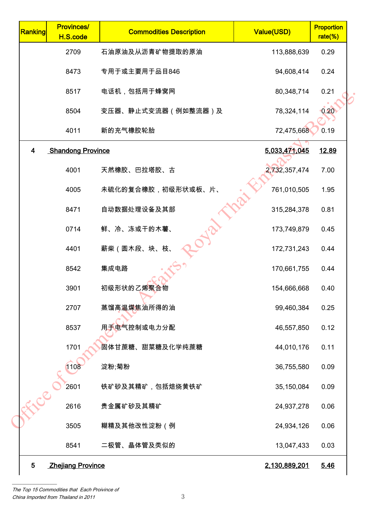| Ranking | <b>Provinces/</b><br>H.S.code | <b>Commodities Description</b> | <b>Value(USD)</b> | <b>Proportion</b><br>$rate$ %) |
|---------|-------------------------------|--------------------------------|-------------------|--------------------------------|
|         | 2709                          | 石油原油及从沥青矿物提取的原油                | 113,888,639       | 0.29                           |
|         | 8473                          | 专用于或主要用于品目846                  | 94,608,414        | 0.24                           |
|         | 8517                          | 电话机,包括用于蜂窝网                    | 80,348,714        | 0.21                           |
|         | 8504                          | 变压器、静止式变流器(例如整流器)及             | 78,324,114        | 0.20                           |
|         | 4011                          | 新的充气橡胶轮胎                       | 72,475,668        | 0.19                           |
| 4       | <b>Shandong Province</b>      |                                | 5,033,471,045     | 12.89                          |
|         | 4001                          | 天然橡胶、巴拉塔胶、古                    | 2,732,357,474     | 7.00                           |
|         | 4005                          | 未硫化的复合橡胶,初级形状或板、片、             | 761,010,505       | 1.95                           |
|         | 8471                          | 自动数据处理设备及其部                    | 315,284,378       | 0.81                           |
|         | 0714                          | 鲜、冷、冻或干的木薯、                    | 173,749,879       | 0.45                           |
|         | 4401                          | 薪柴(圆木段、块、枝、                    | 172,731,243       | 0.44                           |
|         | 8542                          | 集成电路                           | 170,661,755       | 0.44                           |
|         | 3901                          | 初级形状的乙烯聚合物                     | 154,666,668       | 0.40                           |
|         | 2707                          | 蒸馏高温煤焦油所得的油                    | 99,460,384        | 0.25                           |
|         | 8537                          | 用于电气控制或电力分配                    | 46,557,850        | 0.12                           |
|         | 1701                          | 固体甘蔗糖、甜菜糖及化学纯蔗糖                | 44,010,176        | 0.11                           |
|         | 1108                          | 淀粉;菊粉                          | 36,755,580        | 0.09                           |
|         | 2601                          | 铁矿砂及其精矿,包括焙烧黄铁矿                | 35,150,084        | 0.09                           |
| Eller   | 2616                          | 贵金属矿砂及其精矿                      | 24,937,278        | 0.06                           |
|         | 3505                          | 糊精及其他改性淀粉(例                    | 24,934,126        | 0.06                           |
|         | 8541                          | 二极管、晶体管及类似的                    | 13,047,433        | 0.03                           |
| 5       | <b>Zhejiang Province</b>      |                                | 2,130,889,201     | 5.46                           |
|         |                               |                                |                   |                                |

The Top 15 Commodities that Each Proivince of china Imported from Thailand in 2011 3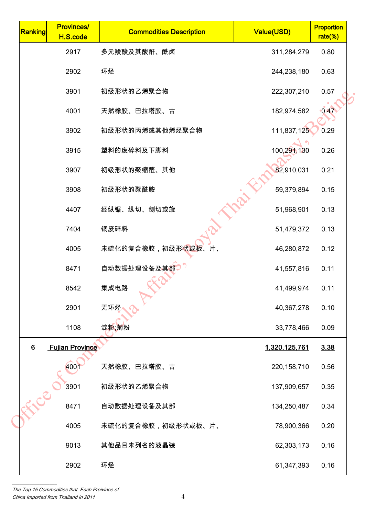| Ranking        | <b>Provinces/</b><br>H.S.code | <b>Commodities Description</b>    | Value(USD)    | <b>Proportion</b><br>$rate$ %) |
|----------------|-------------------------------|-----------------------------------|---------------|--------------------------------|
|                | 2917                          | 多元羧酸及其酸酐、酰卤                       | 311,284,279   | 0.80                           |
|                | 2902                          | 环烃                                | 244,238,180   | 0.63                           |
|                | 3901                          | 初级形状的乙烯聚合物                        | 222,307,210   | 0.57                           |
|                | 4001                          | 天然橡胶、巴拉塔胶、古                       | 182,974,582   | 0.47                           |
|                | 3902                          | 初级形状的丙烯或其他烯烃聚合物                   | 111,837,125   | 0.29                           |
|                | 3915                          | 塑料的废碎料及下脚料                        | 100,291,130   | 0.26                           |
|                | 3907                          | 初级形状的聚缩醛、其他                       | 82,910,031    | 0.21                           |
|                | 3908                          | 初级形状的聚酰胺                          | 59,379,894    | 0.15                           |
|                | 4407                          | 经纵锯、纵切、刨切或旋                       | 51,968,901    | 0.13                           |
|                | 7404                          | 铜废碎料                              | 51,479,372    | 0.13                           |
|                | 4005                          | 未硫化的复合橡胶,初级形 <mark>状或板</mark> 、片、 | 46,280,872    | 0.12                           |
|                | 8471                          | 自动数据处理设备及其部                       | 41,557,816    | 0.11                           |
|                | 8542                          | 集成电路                              | 41,499,974    | 0.11                           |
|                | 2901                          | 无环烃                               | 40,367,278    | 0.10                           |
|                | 1108                          | 淀粉;菊粉                             | 33,778,466    | 0.09                           |
| $6\phantom{1}$ | <b>Fujian Province</b>        |                                   | 1,320,125,761 | 3.38                           |
|                | 400                           | 天然橡胶、巴拉塔胶、古                       | 220, 158, 710 | 0.56                           |
| FICE           | 3901                          | 初级形状的乙烯聚合物                        | 137,909,657   | 0.35                           |
|                | 8471                          | 自动数据处理设备及其部                       | 134,250,487   | 0.34                           |
|                | 4005                          | 未硫化的复合橡胶,初级形状或板、片、                | 78,900,366    | 0.20                           |
|                | 9013                          | 其他品目未列名的液晶装                       | 62,303,173    | 0.16                           |
|                | 2902                          | 环烃                                | 61,347,393    | 0.16                           |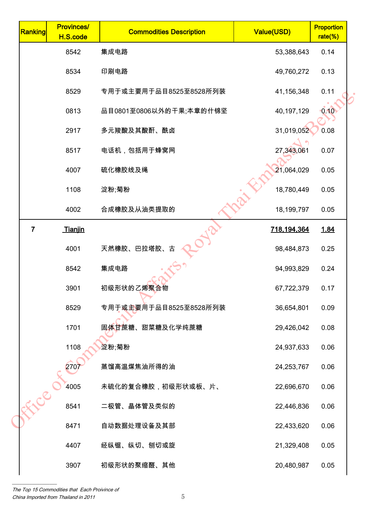| <b>Provinces/</b><br>H.S.code | <b>Commodities Description</b> | <b>Value(USD)</b> | <b>Proportion</b><br>rate(%) |                                                                    |
|-------------------------------|--------------------------------|-------------------|------------------------------|--------------------------------------------------------------------|
| 8542                          | 集成电路                           | 53,388,643        | 0.14                         |                                                                    |
| 8534                          | 印刷电路                           | 49,760,272        | 0.13                         |                                                                    |
| 8529                          | 专用于或主要用于品目8525至8528所列装         | 41,156,348        | 0.11                         |                                                                    |
| 0813                          | 品目0801至0806以外的干果;本章的什锦坚        | 40,197,129        | 0.10                         |                                                                    |
| 2917                          | 多元羧酸及其酸酐、酰卤                    | 31,019,052        | 0.08                         |                                                                    |
| 8517                          | 电话机,包括用于蜂窝网                    | 27,343,061        | 0.07                         |                                                                    |
| 4007                          | 硫化橡胶线及绳                        | 21,064,029        | 0.05                         |                                                                    |
| 1108                          | 淀粉;菊粉                          | 18,780,449        | 0.05                         |                                                                    |
| 4002                          | 合成橡胶及从油类提取的                    | 18,199,797        | 0.05                         |                                                                    |
| Tianjin                       |                                | 718,194,364       | 1.84                         |                                                                    |
| 4001                          | 天然橡胶、巴拉塔胶、                     | 98,484,873        | 0.25                         |                                                                    |
| 8542                          | 集成电路                           | 94,993,829        | 0.24                         |                                                                    |
| 3901                          | 初级形状的乙烯聚合物                     | 67,722,379        | 0.17                         |                                                                    |
| 8529                          | 专用于或主要用于品目8525至8528所列装         | 36,654,801        | 0.09                         |                                                                    |
| 1701                          | 固体甘蔗糖、甜菜糖及化学纯蔗糖                |                   | 0.08                         |                                                                    |
| 1108                          | 淀粉;菊粉                          |                   | 0.06                         |                                                                    |
| 270                           | 蒸馏高温煤焦油所得的油                    |                   | 0.06                         |                                                                    |
| 4005                          | 未硫化的复合橡胶,初级形状或板、片、             | 22,696,670        | 0.06                         |                                                                    |
| 8541                          | 二极管、晶体管及类似的                    |                   | 0.06                         |                                                                    |
| 8471                          | 自动数据处理设备及其部                    | 22,433,620        | 0.06                         |                                                                    |
| 4407                          | 经纵锯、纵切、刨切或旋                    |                   | 0.05                         |                                                                    |
| 3907                          | 初级形状的聚缩醛、其他                    | 20,480,987        | 0.05                         |                                                                    |
|                               | Elec                           |                   |                              | 29,426,042<br>24,937,633<br>24,253,767<br>22,446,836<br>21,329,408 |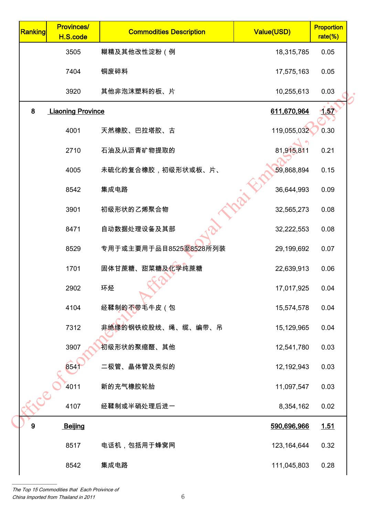| Ranking          | <b>Provinces/</b><br>H.S.code | <b>Commodities Description</b> | Value(USD)    | <b>Proportion</b><br>rate(%) |
|------------------|-------------------------------|--------------------------------|---------------|------------------------------|
|                  | 3505                          | 糊精及其他改性淀粉(例                    | 18,315,785    | 0.05                         |
|                  | 7404                          | 铜废碎料                           | 17,575,163    | 0.05                         |
|                  | 3920                          | 其他非泡沫塑料的板、片                    | 10,255,613    | 0.03                         |
| 8                | <b>Liaoning Province</b>      |                                | 611,670,964   | 1.57                         |
|                  | 4001                          | 天然橡胶、巴拉塔胶、古                    | 119,055,032   | 0.30                         |
|                  | 2710                          | 石油及从沥青矿物提取的                    | 81,915,811    | 0.21                         |
|                  | 4005                          | 未硫化的复合橡胶,初级形状或板、片、             | 59,868,894    | 0.15                         |
|                  | 8542                          | 集成电路                           | 36,644,993    | 0.09                         |
|                  | 3901                          | 初级形状的乙烯聚合物                     | 32,565,273    | 0.08                         |
|                  | 8471                          | 自动数据处理设备及其部                    | 32,222,553    | 0.08                         |
|                  | 8529                          | 专用于或主要用于品目8525至8528所列装         | 29,199,692    | 0.07                         |
|                  | 1701                          | 固体甘蔗糖、甜菜糖及化学纯蔗糖                | 22,639,913    | 0.06                         |
|                  | 2902                          | 环烃                             | 17,017,925    | 0.04                         |
|                  | 4104                          | 经鞣制的不带毛牛皮(包                    | 15,574,578    | 0.04                         |
|                  | 7312                          | 非绝缘的钢铁绞股线、绳、缆、编带、吊             | 15,129,965    | 0.04                         |
|                  | 3907                          | 初级形状的聚缩醛、其他                    | 12,541,780    | 0.03                         |
|                  | 854j                          | 二极管、晶体管及类似的                    | 12, 192, 943  | 0.03                         |
|                  | 4011                          | 新的充气橡胶轮胎                       | 11,097,547    | 0.03                         |
| 36.5             | 4107                          | 经鞣制或半硝处理后进一                    | 8,354,162     | 0.02                         |
| $\boldsymbol{9}$ | Beijing                       |                                | 590,696,966   | <u>1.51</u>                  |
|                  | 8517                          | 电话机,包括用于蜂窝网                    | 123, 164, 644 | 0.32                         |
|                  | 8542                          | 集成电路                           | 111,045,803   | 0.28                         |
|                  |                               |                                |               |                              |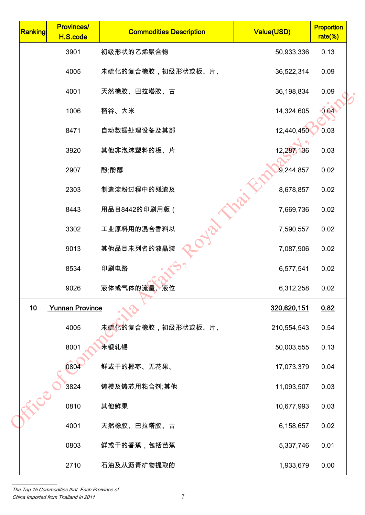| Ranking         | <b>Provinces/</b><br>H.S.code | <b>Commodities Description</b> | Value(USD)  | <b>Proportion</b><br>rate(%) |
|-----------------|-------------------------------|--------------------------------|-------------|------------------------------|
|                 | 3901                          | 初级形状的乙烯聚合物                     | 50,933,336  | 0.13                         |
|                 | 4005                          | 未硫化的复合橡胶,初级形状或板、片、             | 36,522,314  | 0.09                         |
|                 | 4001                          | 天然橡胶、巴拉塔胶、古                    | 36,198,834  | 0.09                         |
|                 | 1006                          | 稻谷、大米                          | 14,324,605  | 0.04                         |
|                 | 8471                          | 自动数据处理设备及其部                    | 12,440,450  | 0.03                         |
|                 | 3920                          | 其他非泡沫塑料的板、片                    | 12,287,136  | 0.03                         |
|                 | 2907                          | 酚;酚醇                           | 9,244,857   | 0.02                         |
|                 | 2303                          | 制造淀粉过程中的残渣及                    | 8,678,857   | 0.02                         |
|                 | 8443                          | 用品目8442的印刷用版 (                 | 7,669,736   | 0.02                         |
|                 | 3302                          | 工业原料用的混合香料以                    | 7,590,557   | 0.02                         |
|                 | 9013                          | 其他品目未列名的液晶装                    | 7,087,906   | 0.02                         |
|                 | 8534                          | 印刷电路                           | 6,577,541   | 0.02                         |
|                 | 9026                          | 液体或气体的流量、液位                    | 6,312,258   | 0.02                         |
| 10 <sub>1</sub> | <b>Yunnan Province</b>        |                                | 320,620,151 | 0.82                         |
|                 | 4005                          | 未硫化的复合橡胶,初级形状或板、片、             | 210,554,543 | 0.54                         |
|                 | 8001                          | 未锻轧锡                           | 50,003,555  | 0.13                         |
|                 | 0804                          | 鲜或干的椰枣、无花果、                    | 17,073,379  | 0.04                         |
|                 | 3824                          | 铸模及铸芯用粘合剂;其他                   | 11,093,507  | 0.03                         |
| -FLCC           | 0810                          | 其他鲜果                           | 10,677,993  | 0.03                         |
|                 | 4001                          | 天然橡胶、巴拉塔胶、古                    | 6,158,657   | 0.02                         |
|                 | 0803                          | 鲜或干的香蕉,包括芭蕉                    | 5,337,746   | 0.01                         |
|                 | 2710                          | 石油及从沥青矿物提取的                    | 1,933,679   | 0.00                         |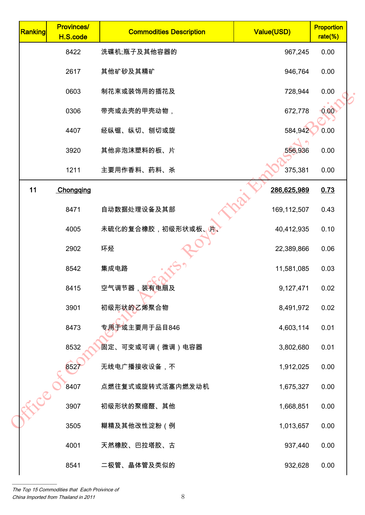| Ranking | <b>Provinces/</b><br>H.S.code | <b>Commodities Description</b> | Value(USD)  | <b>Proportion</b><br>$rate$ %) |  |
|---------|-------------------------------|--------------------------------|-------------|--------------------------------|--|
|         | 8422                          | 洗碟机;瓶子及其他容器的                   | 967,245     | 0.00                           |  |
|         | 2617                          | 其他矿砂及其精矿                       | 946,764     | 0.00                           |  |
|         | 0603                          | 制花束或装饰用的插花及                    | 728,944     | 0.00                           |  |
|         | 0306                          | 带壳或去壳的甲壳动物,                    | 672,778     | 0.00                           |  |
|         | 4407                          | 经纵锯、纵切、刨切或旋                    | 584,942     | 0.00                           |  |
|         | 3920                          | 其他非泡沫塑料的板、片                    | 556,936     | 0.00                           |  |
|         | 1211                          | 主要用作香料、药料、杀                    | 375,381     | 0.00                           |  |
| 11      | Chongqing                     |                                | 286,625,989 | 0.73                           |  |
|         | 8471                          | 自动数据处理设备及其部                    | 169,112,507 | 0.43                           |  |
|         | 4005                          | 未硫化的复合橡胶,初级形状或板、               | 40,412,935  | 0.10                           |  |
|         | 2902                          | 环烃                             | 22,389,866  | 0.06                           |  |
|         | 8542                          | 集成电路                           | 11,581,085  | 0.03                           |  |
|         | 8415                          | 空气调节器,装有电扇及                    | 9,127,471   | 0.02                           |  |
|         | 3901                          | 初级形状的乙烯聚合物                     | 8,491,972   | 0.02                           |  |
|         | 8473                          | 专用于或主要用于品目846                  | 4,603,114   | 0.01                           |  |
|         | 8532                          | 固定、可变或可调(微调)电容器                | 3,802,680   | 0.01                           |  |
|         | 852)                          | 无线电广播接收设备,不                    | 1,912,025   | 0.00                           |  |
| Eler    | 8407                          | 点燃往复式或旋转式活塞内燃发动机               | 1,675,327   | 0.00                           |  |
|         | 3907                          | 初级形状的聚缩醛、其他                    | 1,668,851   | 0.00                           |  |
|         | 3505                          | 糊精及其他改性淀粉(例                    | 1,013,657   | 0.00                           |  |
|         | 4001                          | 天然橡胶、巴拉塔胶、古                    | 937,440     | 0.00                           |  |
|         | 8541                          | 二极管、晶体管及类似的                    | 932,628     | 0.00                           |  |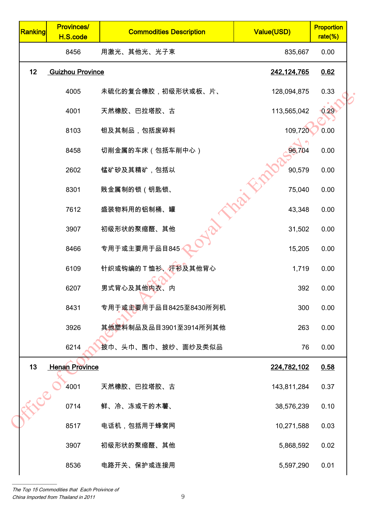| <b>Provinces/</b><br>H.S.code | <b>Commodities Description</b> | Value(USD)                                       | <b>Proportion</b><br>rate(%) |
|-------------------------------|--------------------------------|--------------------------------------------------|------------------------------|
| 8456                          | 用激光、其他光、光子束                    | 835,667                                          | 0.00                         |
|                               |                                | 242,124,765                                      | 0.62                         |
| 4005                          | 未硫化的复合橡胶,初级形状或板、片、             | 128,094,875                                      | 0.33                         |
| 4001                          | 天然橡胶、巴拉塔胶、古                    | 113,565,042                                      | 0.29                         |
| 8103                          | 钽及其制品,包括废碎料                    | 109,720                                          | 0.00                         |
| 8458                          | 切削金属的车床 (包括车削中心)               | 96,704                                           | 0.00                         |
| 2602                          | 锰矿砂及其精矿,包括以                    | 90,579                                           | 0.00                         |
| 8301                          | 贱金属制的锁(钥匙锁、                    | 75,040                                           | 0.00                         |
| 7612                          | 盛装物料用的铝制桶、罐                    | 43,348                                           | 0.00                         |
| 3907                          | 初级形状的聚缩醛、其他                    | 31,502                                           | 0.00                         |
| 8466                          | 专用于或主要用于品目845                  | 15,205                                           | 0.00                         |
| 6109                          | 针织或钩编的T恤衫、汗衫及其他背心              | 1,719                                            | 0.00                         |
| 6207                          | 男式背心及其他内衣、内                    | 392                                              | 0.00                         |
| 8431                          | 专用于或主要用于品目8425至8430所列机         | 300                                              | 0.00                         |
| 3926                          | 其他塑料制品及品目3901至3914所列其他         | 263                                              | 0.00                         |
| 6214                          | 披巾、头巾、围巾、披纱、面纱及类似品             | 76                                               | 0.00                         |
|                               |                                | 224,782,102                                      | 0.58                         |
| 4001                          | 天然橡胶、巴拉塔胶、古                    | 143,811,284                                      | 0.37                         |
| 0714                          | 鲜、冷、冻或干的木薯、                    | 38,576,239                                       | 0.10                         |
| 8517                          | 电话机,包括用于蜂窝网                    | 10,271,588                                       | 0.03                         |
| 3907                          | 初级形状的聚缩醛、其他                    | 5,868,592                                        | 0.02                         |
| 8536                          | 电路开关、保护或连接用                    | 5,597,290                                        | 0.01                         |
|                               | -5100-                         | <b>Guizhou Province</b><br><b>Henan Province</b> |                              |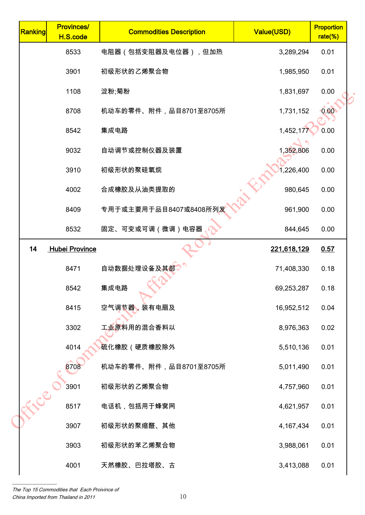| 0.01<br>0.01<br>0.00<br>0.00<br>0.00<br>0.00<br>0.00 |
|------------------------------------------------------|
|                                                      |
|                                                      |
|                                                      |
|                                                      |
|                                                      |
|                                                      |
|                                                      |
| 0.00                                                 |
| 0.00                                                 |
| 0.00                                                 |
| 0.57                                                 |
| 0.18                                                 |
| 0.18                                                 |
| 0.04                                                 |
| 0.02                                                 |
| 0.01                                                 |
| 0.01                                                 |
| 0.01                                                 |
| 0.01                                                 |
| 0.01                                                 |
| 0.01                                                 |
| 0.01                                                 |
|                                                      |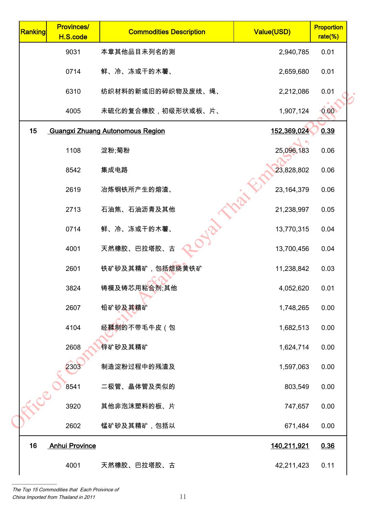| 9031<br>本章其他品目未列名的测<br>2,940,785<br>鲜、冷、冻或干的木薯、<br>0714<br>2,659,680<br>纺织材料的新或旧的碎织物及废线、绳、<br>6310<br>2,212,086 | 0.01<br>0.01<br>0.01<br>0.00 |
|-----------------------------------------------------------------------------------------------------------------|------------------------------|
|                                                                                                                 |                              |
|                                                                                                                 |                              |
|                                                                                                                 |                              |
| 未硫化的复合橡胶,初级形状或板、片、<br>4005<br>1,907,124                                                                         |                              |
| 15<br>152,369,024<br><b>Guangxi Zhuang Autonomous Region</b>                                                    | 0.39                         |
| 1108<br>淀粉;菊粉<br>25,096,183                                                                                     | 0.06                         |
| 23,828,802<br>集成电路<br>8542                                                                                      | 0.06                         |
| 23, 164, 379<br>冶炼钢铁所产生的熔渣、<br>2619                                                                             | 0.06                         |
| 石油焦、石油沥青及其他<br>2713<br>21,238,997                                                                               | 0.05                         |
| 鲜、冷、冻或干的木薯、<br>0714<br>13,770,315                                                                               | 0.04                         |
| 天然橡胶、巴拉塔胶、古<br>4001<br>13,700,456                                                                               | 0.04                         |
| 铁矿砂及其精矿,包括焙烧黄铁矿<br>2601<br>11,238,842                                                                           | 0.03                         |
| 铸模及铸芯用粘合剂;其他<br>3824<br>4,052,620                                                                               | 0.01                         |
| 2607<br>铅矿砂及其精矿<br>1,748,265                                                                                    | 0.00                         |
| 经鞣制的不带毛牛皮(包<br>4104<br>1,682,513                                                                                | 0.00                         |
| 2608<br>锌矿砂及其精矿<br>1,624,714                                                                                    | 0.00                         |
| 2303<br>制造淀粉过程中的残渣及<br>1,597,063                                                                                | 0.00                         |
| 二极管、晶体管及类似的<br>8541<br>803,549                                                                                  | 0.00                         |
| Eler<br>其他非泡沫塑料的板、片<br>3920<br>747,657                                                                          | 0.00                         |
| 锰矿砂及其精矿,包括以<br>2602<br>671,484                                                                                  | 0.00                         |
| 16<br><b>Anhui Province</b><br>140,211,921                                                                      | 0.36                         |
| 天然橡胶、巴拉塔胶、古<br>4001<br>42,211,423                                                                               | 0.11                         |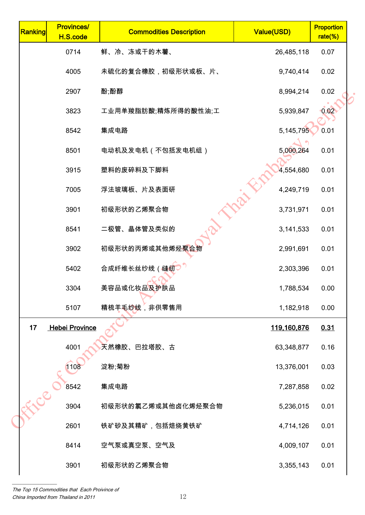| Ranking | <b>Provinces/</b><br>H.S.code | <b>Commodities Description</b> | Value(USD)         | <b>Proportion</b><br>rate(%) |
|---------|-------------------------------|--------------------------------|--------------------|------------------------------|
|         | 0714                          | 鲜、冷、冻或干的木薯、                    | 26,485,118         | 0.07                         |
|         | 4005                          | 未硫化的复合橡胶,初级形状或板、片、             | 9,740,414          | 0.02                         |
|         | 2907                          | 酚;酚醇                           | 8,994,214          | 0.02                         |
|         | 3823                          | 工业用单羧脂肪酸;精炼所得的酸性油;工            | 5,939,847          | 0.02                         |
|         | 8542                          | 集成电路                           | 5, 145, 795        | 0.01                         |
|         | 8501                          | 电动机及发电机(不包括发电机组)               | 5,000,264          | 0.01                         |
|         | 3915                          | 塑料的废碎料及下脚料                     | 4,554,680          | 0.01                         |
|         | 7005                          | 浮法玻璃板、片及表面研                    | 4,249,719          | 0.01                         |
|         | 3901                          | 初级形状的乙烯聚合物                     | 3,731,971          | 0.01                         |
|         | 8541                          | 二极管、晶体管及类似的                    | 3,141,533          | 0.01                         |
|         | 3902                          | 初级形状的丙烯或其他烯烃聚合物                | 2,991,691          | 0.01                         |
|         | 5402                          | 合成纤维长丝纱线 (缝纫                   | 2,303,396          | 0.01                         |
|         | 3304                          | 美容品或化妆品及护肤品                    | 1,788,534          | 0.00                         |
|         | 5107                          | 精梳羊毛纱线,非供零售用                   | 1,182,918          | 0.00                         |
| 17      | <b>Hebei Province</b>         |                                | <u>119,160,876</u> | 0.31                         |
|         | 4001                          | 天然橡胶、巴拉塔胶、古                    | 63,348,877         | 0.16                         |
|         | 1108                          | 淀粉;菊粉                          | 13,376,001         | 0.03                         |
|         | 8542                          | 集成电路                           | 7,287,858          | 0.02                         |
| FICE    | 3904                          | 初级形状的氯乙烯或其他卤化烯烃聚合物             | 5,236,015          | 0.01                         |
|         | 2601                          | 铁矿砂及其精矿,包括焙烧黄铁矿                | 4,714,126          | 0.01                         |
|         | 8414                          | 空气泵或真空泵、空气及                    | 4,009,107          | 0.01                         |
|         | 3901                          | 初级形状的乙烯聚合物                     | 3,355,143          | 0.01                         |
|         |                               |                                |                    |                              |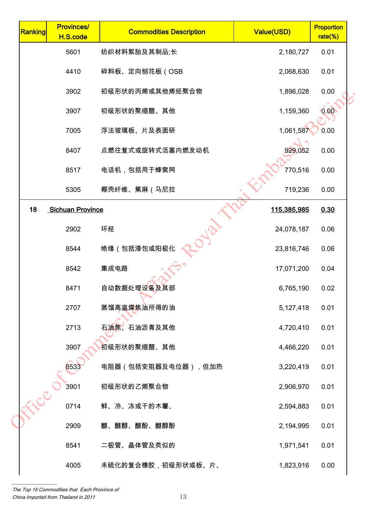| Ranking | <b>Provinces/</b><br>H.S.code | <b>Commodities Description</b> | Value(USD)  | <b>Proportion</b><br>$rate(\%)$ |  |
|---------|-------------------------------|--------------------------------|-------------|---------------------------------|--|
|         | 5601                          | 纺织材料絮胎及其制品;长                   | 2,180,727   | 0.01                            |  |
|         | 4410                          | 碎料板、定向刨花板(OSB                  | 2,068,630   | 0.01                            |  |
|         | 3902                          | 初级形状的丙烯或其他烯烃聚合物                | 1,896,028   | 0.00                            |  |
|         | 3907                          | 初级形状的聚缩醛、其他                    | 1,159,360   | 0.00                            |  |
|         | 7005                          | 浮法玻璃板、片及表面研                    | 1,061,587   | 0.00                            |  |
|         | 8407                          | 点燃往复式或旋转式活塞内燃发动机               | 929,052     | 0.00                            |  |
|         | 8517                          | 电话机,包括用于蜂窝网                    | 770,516     | 0.00                            |  |
|         | 5305                          | 椰壳纤维、蕉麻(马尼拉                    | 719,236     | 0.00                            |  |
| 18      | <b>Sichuan Province</b>       |                                | 115,385,985 | 0.30                            |  |
|         | 2902                          | 环烃                             | 24,078,187  | 0.06                            |  |
|         | 8544                          | 绝缘(包括漆包或阳极化                    | 23,816,746  | 0.06                            |  |
|         | 8542                          | 集成电路                           | 17,071,200  | 0.04                            |  |
|         | 8471                          | 自动数据处理设备及其部                    | 6,765,190   | 0.02                            |  |
|         | 2707                          | 蒸馏高温煤焦油所得的油                    | 5,127,418   | 0.01                            |  |
|         | 2713                          | 石油焦、石油沥青及其他                    | 4,720,410   | 0.01                            |  |
|         | 3907                          | 初级形状的聚缩醛、其他                    | 4,466,220   | 0.01                            |  |
|         | 8533                          | 电阻器(包括变阻器及电位器),但加热             | 3,220,419   | 0.01                            |  |
| Free    | 3901                          | 初级形状的乙烯聚合物                     | 2,906,970   | 0.01                            |  |
|         | 0714                          | 鲜、冷、冻或干的木薯、                    | 2,594,883   | 0.01                            |  |
|         | 2909                          | 醚、醚醇、醚酚、醚醇酚                    | 2,194,995   | 0.01                            |  |
|         | 8541                          | 二极管、晶体管及类似的                    | 1,971,541   | 0.01                            |  |
|         | 4005                          | 未硫化的复合橡胶,初级形状或板、片、             | 1,823,916   | 0.00                            |  |
|         |                               |                                |             |                                 |  |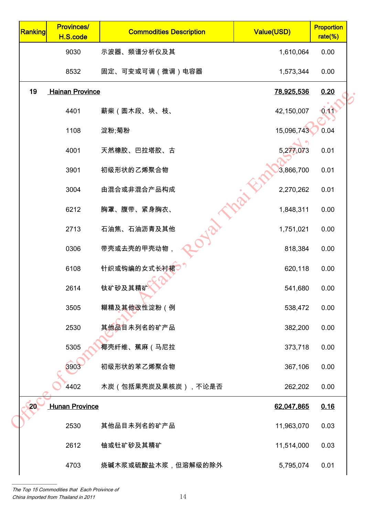| Ranking | <b>Provinces/</b><br>H.S.code | <b>Commodities Description</b> | <b>Value(USD)</b> | <b>Proportion</b><br>rate(%) |
|---------|-------------------------------|--------------------------------|-------------------|------------------------------|
|         | 9030                          | 示波器、频谱分析仪及其                    | 1,610,064         | 0.00                         |
|         | 8532                          | 固定、可变或可调(微调)电容器                | 1,573,344         | 0.00                         |
| 19      | <b>Hainan Province</b>        |                                | 78,925,536        | 0.20                         |
|         | 4401                          | 薪柴(圆木段、块、枝、                    | 42,150,007        | 0.11                         |
|         | 1108                          | 淀粉;菊粉                          | 15,096,743        | 0.04                         |
|         | 4001                          | 天然橡胶、巴拉塔胶、古                    | 5,277,073         | 0.01                         |
|         | 3901                          | 初级形状的乙烯聚合物                     | 3,866,700         | 0.01                         |
|         | 3004                          | 由混合或非混合产品构成                    | 2,270,262         | 0.01                         |
|         | 6212                          | 胸罩、腹带、紧身胸衣、                    | 1,848,311         | 0.00                         |
|         | 2713                          | 石油焦、石油沥青及其他                    | 1,751,021         | 0.00                         |
|         | 0306                          | 带壳或去壳的甲壳动物,                    | 818,384           | 0.00                         |
|         | 6108                          | 针织或钩编的女式长衬裙                    | 620,118           | 0.00                         |
|         | 2614                          | 钛矿砂及其精矿                        | 541,680           | 0.00                         |
|         | 3505                          | 糊精及其他改性淀粉(例                    | 538,472           | 0.00                         |
|         | 2530                          | 其他品目未列名的矿产品                    | 382,200           | 0.00                         |
|         | 5305                          | 椰壳纤维、蕉麻(马尼拉                    | 373,718           | 0.00                         |
|         | 3903                          | 初级形状的苯乙烯聚合物                    | 367,106           | 0.00                         |
|         | 4402                          | 木炭(包括果壳炭及果核炭),不论是否             | 262,202           | 0.00                         |
| 20      | <b>Hunan Province</b>         |                                | 62,047,865        | 0.16                         |
|         | 2530                          | 其他品目未列名的矿产品                    | 11,963,070        | 0.03                         |
|         | 2612                          | 铀或钍矿砂及其精矿                      | 11,514,000        | 0.03                         |
|         | 4703                          | 烧碱木浆或硫酸盐木浆,但溶解级的除外             | 5,795,074         | 0.01                         |
|         |                               |                                |                   |                              |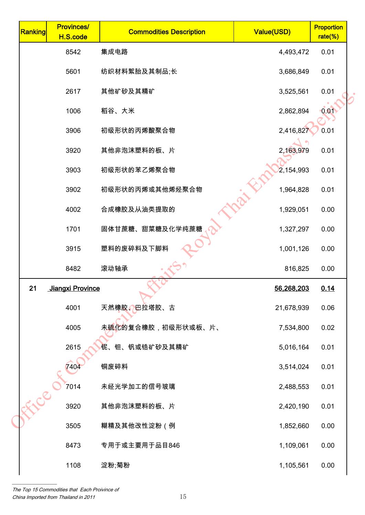| Ranking | <b>Provinces/</b><br>H.S.code | <b>Commodities Description</b> | Value(USD) | <b>Proportion</b><br>rate(%) |
|---------|-------------------------------|--------------------------------|------------|------------------------------|
|         | 8542                          | 集成电路                           | 4,493,472  | 0.01                         |
|         | 5601                          | 纺织材料絮胎及其制品;长                   | 3,686,849  | 0.01                         |
|         | 2617                          | 其他矿砂及其精矿                       | 3,525,561  | 0.01                         |
|         | 1006                          | 稻谷、大米                          | 2,862,894  | 0.01                         |
|         | 3906                          | 初级形状的丙烯酸聚合物                    | 2,416,827  | 0.01                         |
|         | 3920                          | 其他非泡沫塑料的板、片                    | 2,163,979  | 0.01                         |
|         | 3903                          | 初级形状的苯乙烯聚合物                    | 2,154,993  | 0.01                         |
|         | 3902                          | 初级形状的丙烯或其他烯烃聚合物                | 1,964,828  | 0.01                         |
|         | 4002                          | 合成橡胶及从油类提取的                    | 1,929,051  | 0.00                         |
|         | 1701                          | 固体甘蔗糖、甜菜糖及化学纯蔗糖                | 1,327,297  | 0.00                         |
|         | 3915                          | 塑料的废碎料及下脚料                     | 1,001,126  | 0.00                         |
|         | 8482                          | 滚动轴承                           | 816,825    | 0.00                         |
| 21      | Jiangxi Province              |                                | 56,268,203 | 0.14                         |
|         | 4001                          | 天然橡胶、巴拉塔胶、古                    | 21,678,939 | 0.06                         |
|         | 4005                          | 未硫化的复合橡胶,初级形状或板、片、             | 7,534,800  | 0.02                         |
|         | 2615                          | 铌、钽、钒或锆矿砂及其精矿                  | 5,016,164  | 0.01                         |
|         | 7404                          | 铜废碎料                           | 3,514,024  | 0.01                         |
|         | 7014                          | 未经光学加工的信号玻璃                    | 2,488,553  | 0.01                         |
| -FLCC   | 3920                          | 其他非泡沫塑料的板、片                    | 2,420,190  | 0.01                         |
|         | 3505                          | 糊精及其他改性淀粉(例                    | 1,852,660  | 0.00                         |
|         | 8473                          | 专用于或主要用于品目846                  | 1,109,061  | 0.00                         |
|         | 1108                          | 淀粉;菊粉                          | 1,105,561  | 0.00                         |
|         |                               |                                |            |                              |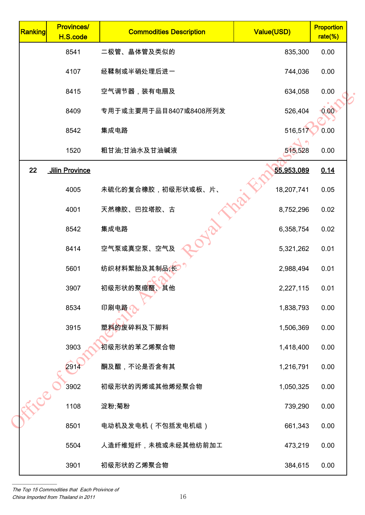| Ranking | <b>Provinces/</b><br>H.S.code | <b>Commodities Description</b> | Value(USD) | <b>Proportion</b><br>rate(%) |
|---------|-------------------------------|--------------------------------|------------|------------------------------|
|         | 8541                          | 二极管、晶体管及类似的                    | 835,300    | 0.00                         |
|         | 4107                          | 经鞣制或半硝处理后进一                    | 744,036    | 0.00                         |
|         | 8415                          | 空气调节器,装有电扇及                    | 634,058    | 0.00                         |
|         | 8409                          | 专用于或主要用于品目8407或8408所列发         | 526,404    | 0.00                         |
|         | 8542                          | 集成电路                           | 516,517    | 0.00                         |
|         | 1520                          | 粗甘油;甘油水及甘油碱液                   | 515,528    | 0.00                         |
| 22      | <b>Jilin Province</b>         |                                | 55,953,089 | 0.14                         |
|         | 4005                          | 未硫化的复合橡胶,初级形状或板、片、             | 18,207,741 | 0.05                         |
|         | 4001                          | 天然橡胶、巴拉塔胶、古                    | 8,752,296  | 0.02                         |
|         | 8542                          | 集成电路                           | 6,358,754  | 0.02                         |
|         | 8414                          | 空气泵或真空泵、空气及                    | 5,321,262  | 0.01                         |
|         | 5601                          | 纺织材料絮胎及其制品;长                   | 2,988,494  | 0.01                         |
|         | 3907                          | 初级形状的聚缩醛、其他                    | 2,227,115  | 0.01                         |
|         | 8534                          | 印刷电路                           | 1,838,793  | 0.00                         |
|         | 3915                          | 塑料的废碎料及下脚料                     | 1,506,369  | 0.00                         |
|         | 3903                          | 初级形状的苯乙烯聚合物                    | 1,418,400  | 0.00                         |
|         | 2914                          | 酮及醌,不论是否含有其                    | 1,216,791  | 0.00                         |
|         | 3902                          | 初级形状的丙烯或其他烯烃聚合物                | 1,050,325  | 0.00                         |
| Elle    | 1108                          | 淀粉;菊粉                          | 739,290    | 0.00                         |
|         | 8501                          | 电动机及发电机(不包括发电机组)               | 661,343    | 0.00                         |
|         | 5504                          | 人造纤维短纤,未梳或未经其他纺前加工             | 473,219    | 0.00                         |
|         | 3901                          | 初级形状的乙烯聚合物                     | 384,615    | 0.00                         |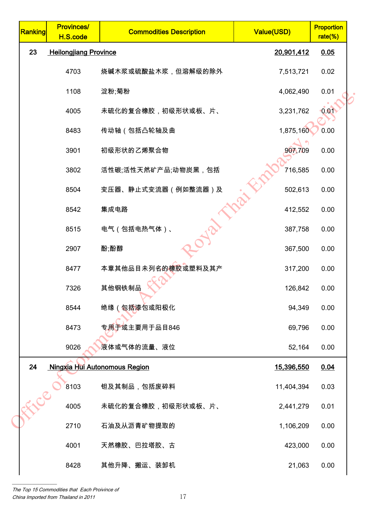| Ranking | <b>Provinces/</b><br>H.S.code | <b>Commodities Description</b> | Value(USD) | <b>Proportion</b><br>rate(%) |  |
|---------|-------------------------------|--------------------------------|------------|------------------------------|--|
| 23      | <b>Heilongjiang Province</b>  |                                | 20,901,412 | 0.05                         |  |
|         | 4703                          | 烧碱木浆或硫酸盐木浆,但溶解级的除外             | 7,513,721  | 0.02                         |  |
|         | 1108                          | 淀粉;菊粉                          | 4,062,490  | 0.01                         |  |
|         | 4005                          | 未硫化的复合橡胶,初级形状或板、片、             | 3,231,762  | 0.01                         |  |
|         | 8483                          | 传动轴(包括凸轮轴及曲                    | 1,875,160  | 0.00                         |  |
|         | 3901                          | 初级形状的乙烯聚合物                     | 907,709    | 0.00                         |  |
|         | 3802                          | 活性碳;活性天然矿产品;动物炭黑,包括            | 716,585    | 0.00                         |  |
|         | 8504                          | 变压器、静止式变流器 (例如整流器)及            | 502,613    | 0.00                         |  |
|         | 8542                          | 集成电路                           | 412,552    | 0.00                         |  |
|         | 8515                          | 电气(包括电热气体)、                    | 387,758    | 0.00                         |  |
|         | 2907                          | 酚;酚醇                           | 367,500    | 0.00                         |  |
|         | 8477                          | 本章其他品目未列名的橡胶或塑料及其产             | 317,200    | 0.00                         |  |
|         | 7326                          | 其他钢铁制品                         | 126,842    | 0.00                         |  |
|         | 8544                          | 绝缘(包括漆包或阳极化                    | 94,349     | 0.00                         |  |
|         | 8473                          | 专用于或主要用于品目846                  | 69,796     | 0.00                         |  |
|         | 9026                          | 液体或气体的流量、液位                    | 52,164     | 0.00                         |  |
| 24      |                               | Ningxia Hui Autonomous Region  | 15,396,550 | 0.04                         |  |
|         | 8103                          | 钽及其制品,包括废碎料                    | 11,404,394 | 0.03                         |  |
| LELEC   | 4005                          | 未硫化的复合橡胶,初级形状或板、片、             | 2,441,279  | 0.01                         |  |
|         | 2710                          | 石油及从沥青矿物提取的                    | 1,106,209  | 0.00                         |  |
|         | 4001                          | 天然橡胶、巴拉塔胶、古                    | 423,000    | 0.00                         |  |
|         | 8428                          | 其他升降、搬运、装卸机                    | 21,063     | 0.00                         |  |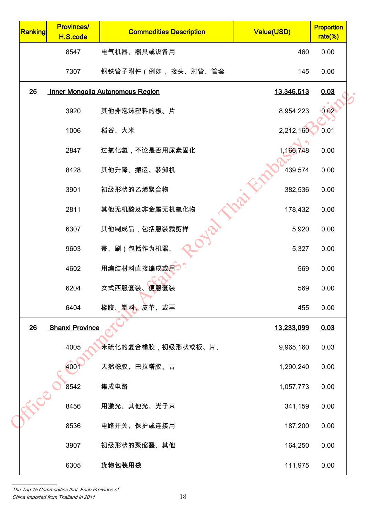| Ranking | <b>Provinces/</b><br>H.S.code | <b>Commodities Description</b>          | Value(USD)        | <b>Proportion</b><br>$rate(\%)$ |
|---------|-------------------------------|-----------------------------------------|-------------------|---------------------------------|
|         | 8547                          | 电气机器、器具或设备用                             | 460               | 0.00                            |
|         | 7307                          | 钢铁管子附件(例如, 接头、肘管、管套                     | 145               | 0.00                            |
| 25      |                               | <b>Inner Mongolia Autonomous Region</b> | 13,346,513        | 0.03                            |
|         | 3920                          | 其他非泡沫塑料的板、片                             | 8,954,223         | 0.02                            |
|         | 1006                          | 稻谷、大米                                   | 2,212,160         | 0.01                            |
|         | 2847                          | 过氧化氢,不论是否用尿素固化                          | 1,166,748         | 0.00                            |
|         | 8428                          | 其他升降、搬运、装卸机                             | 439,574           | 0.00                            |
|         | 3901                          | 初级形状的乙烯聚合物                              | 382,536           | 0.00                            |
|         | 2811                          | 其他无机酸及非金属无机氧化物                          | 178,432           | 0.00                            |
|         | 6307                          | 其他制成品,包括服装裁剪样                           | 5,920             | 0.00                            |
|         | 9603                          | 帚、刷(包括作为机器、                             | 5,327             | 0.00                            |
|         | 4602                          | 用编结材料直接编成或用                             | 569               | 0.00                            |
|         | 6204                          | 女式西服套装、便服套装                             | 569               | 0.00                            |
|         | 6404                          | 橡胶、塑料、皮革、或再                             | 455               | 0.00                            |
| 26      | <b>Shanxi Province</b>        |                                         | <u>13,233,099</u> | 0.03                            |
|         | 4005                          | 未硫化的复合橡胶,初级形状或板、片、                      | 9,965,160         | 0.03                            |
|         | 400                           | 天然橡胶、巴拉塔胶、古                             | 1,290,240         | 0.00                            |
|         | 8542                          | 集成电路                                    | 1,057,773         | 0.00                            |
| RICE    | 8456                          | 用激光、其他光、光子束                             | 341,159           | 0.00                            |
|         | 8536                          | 电路开关、保护或连接用                             | 187,200           | 0.00                            |
|         | 3907                          | 初级形状的聚缩醛、其他                             | 164,250           | 0.00                            |
|         | 6305                          | 货物包装用袋                                  | 111,975           | 0.00                            |
|         |                               |                                         |                   |                                 |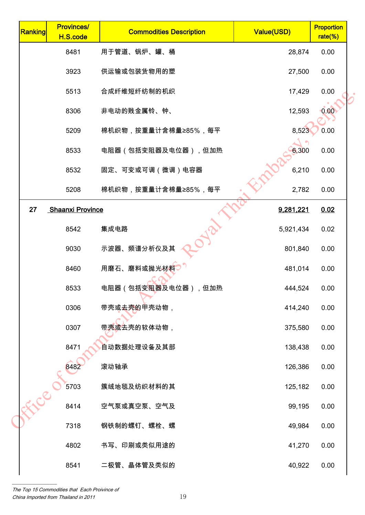| Ranking | <b>Provinces/</b><br>H.S.code | <b>Commodities Description</b>    | Value(USD) | <b>Proportion</b><br>$rate$ %) |  |
|---------|-------------------------------|-----------------------------------|------------|--------------------------------|--|
|         | 8481                          | 用于管道、锅炉、罐、桶                       | 28,874     | 0.00                           |  |
|         | 3923                          | 供运输或包装货物用的塑                       | 27,500     | 0.00                           |  |
|         | 5513                          | 合成纤维短纤纺制的机织                       | 17,429     | 0.00                           |  |
|         | 8306                          | 非电动的贱金属铃、钟、                       | 12,593     | 0.00                           |  |
|         | 5209                          | 棉机织物,按重量计含棉量≥85%,每平               | 8,523      | 0.00                           |  |
|         | 8533                          | 电阻器(包括变阻器及电位器),但加热                | 6,300      | 0.00                           |  |
|         | 8532                          | 固定、可变或可调(微调)电容器                   | 6,210      | 0.00                           |  |
|         | 5208                          | 棉机织物,按重量计含棉量≥85%,每平               | 2,782      | 0.00                           |  |
| 27      | <b>Shaanxi Province</b>       |                                   | 9,281,221  | 0.02                           |  |
|         | 8542                          | 集成电路                              | 5,921,434  | 0.02                           |  |
|         | 9030                          | 示波器、频谱分析仪及其                       | 801,840    | 0.00                           |  |
|         | 8460                          | 用磨石、磨料或抛光材料                       | 481,014    | 0.00                           |  |
|         | 8533                          | 电阻器(包括变 <mark>阻器</mark> 及电位器),但加热 | 444,524    | 0.00                           |  |
|         | 0306                          | 带壳或 <b>去壳</b> 的甲壳动物,              | 414,240    | 0.00                           |  |
|         | 0307                          | 带壳或去壳的软体动物,                       | 375,580    | 0.00                           |  |
|         | 8471                          | 自动数据处理设备及其部                       | 138,438    | 0.00                           |  |
|         | 8482                          | 滚动轴承                              | 126,386    | 0.00                           |  |
|         | 5703                          | 簇绒地毯及纺织材料的其                       | 125,182    | 0.00                           |  |
| -FLCC   | 8414                          | 空气泵或真空泵、空气及                       | 99,195     | 0.00                           |  |
|         | 7318                          | 钢铁制的螺钉、螺栓、螺                       | 49,984     | 0.00                           |  |
|         | 4802                          | 书写、印刷或类似用途的                       | 41,270     | 0.00                           |  |
|         | 8541                          | 二极管、晶体管及类似的                       | 40,922     | 0.00                           |  |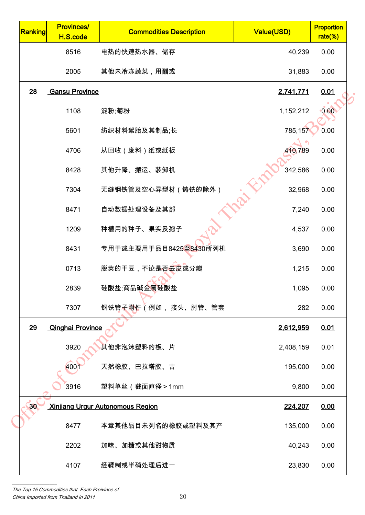| Ranking | <b>Provinces/</b><br>H.S.code | <b>Commodities Description</b>          | Value(USD) | <b>Proportion</b><br>$rate$ %) |
|---------|-------------------------------|-----------------------------------------|------------|--------------------------------|
|         | 8516                          | 电热的快速热水器、储存                             | 40,239     | 0.00                           |
|         | 2005                          | 其他未冷冻蔬菜,用醋或                             | 31,883     | 0.00                           |
| 28      | <b>Gansu Province</b>         |                                         | 2,741,771  | 0.01                           |
|         | 1108                          | 淀粉;菊粉                                   | 1,152,212  | 0.00                           |
|         | 5601                          | 纺织材料絮胎及其制品;长                            | 785,157    | 0.00                           |
|         | 4706                          | 从回收(废料)纸或纸板                             | 410,789    | 0.00                           |
|         | 8428                          | 其他升降、搬运、装卸机                             | 342,586    | 0.00                           |
|         | 7304                          | 无缝钢铁管及空心异型材(铸铁的除外)                      | 32,968     | 0.00                           |
|         | 8471                          | 自动数据处理设备及其部                             | 7,240      | 0.00                           |
|         | 1209                          | 种植用的种子、果实及孢子                            | 4,537      | 0.00                           |
|         | 8431                          | 专用于或主要用于品目8425至8430所列机                  | 3,690      | 0.00                           |
|         | 0713                          | 脱荚的干豆,不论是否去皮或分瓣                         | 1,215      | 0.00                           |
|         | 2839                          | 硅酸盐;商品碱金属硅酸盐                            | 1,095      | 0.00                           |
|         | 7307                          | 钢铁管子附件 (例如, 接头、肘管、管套                    | 282        | 0.00                           |
| 29      | <b>Qinghai Province</b>       |                                         | 2,612,959  | 0.01                           |
|         | 3920                          | 其他非泡沫塑料的板、片                             | 2,408,159  | 0.01                           |
|         | 400                           | 天然橡胶、巴拉塔胶、古                             | 195,000    | 0.00                           |
|         | 3916                          | 塑料单丝(截面直径>1mm                           | 9,800      | 0.00                           |
| 30      |                               | <b>Xinjiang Urgur Autonomous Region</b> | 224,207    | 0.00                           |
|         | 8477                          | 本章其他品目未列名的橡胶或塑料及其产                      | 135,000    | 0.00                           |
|         | 2202                          | 加味、加糖或其他甜物质                             | 40,243     | 0.00                           |
|         | 4107                          | 经鞣制或半硝处理后进一                             | 23,830     | 0.00                           |